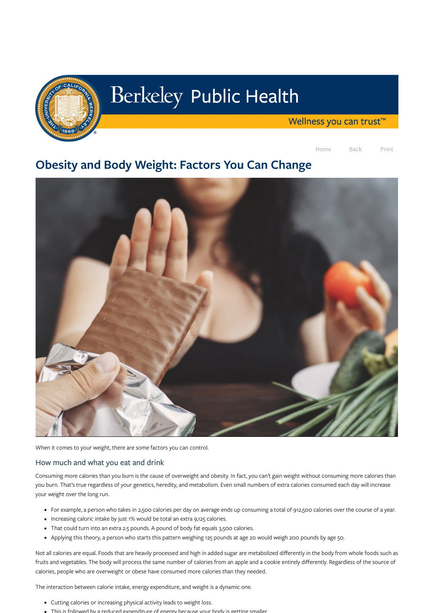

# Berkeley Public Health

Wellness you can trust<sup>™</sup>

Home Back Print

## Obesity and Body Weight: Factors You Can Change



When it comes to your weight, there are some factors you can control.

How much and what you eat and drink

Consuming more calories than you burn is the cause of overweight and obesity. In fact, you can't gain weight without consuming more calories than you burn. That's true regardless of your genetics, heredity, and metabolism. Even small numbers of extra calories consumed each day will increase your weight over the long run.

- For example, a person who takes in 2,500 calories per day on average ends up consuming a total of 912,500 calories over the course of a year.
- Increasing caloric intake by just 1% would be total an extra 9,125 calories.
- That could turn into an extra 2.5 pounds. A pound of body fat equals 3,500 calories.
- Applying this theory, a person who starts this pattern weighing 125 pounds at age 20 would weigh 200 pounds by age 50.

Not all calories are equal. Foods that are heavily processed and high in added sugar are metabolized differently in the body from whole foods such as fruits and vegetables. The body will process the same number of calories from an apple and a cookie entirely differently. Regardless of the source of calories, people who are overweight or obese have consumed more calories than they needed.

The interaction between calorie intake, energy expenditure, and weight is a dynamic one.

- Cutting calories or increasing physical activity leads to weight loss.
- This is followed by a reduced expenditure of energy because your body is getting smaller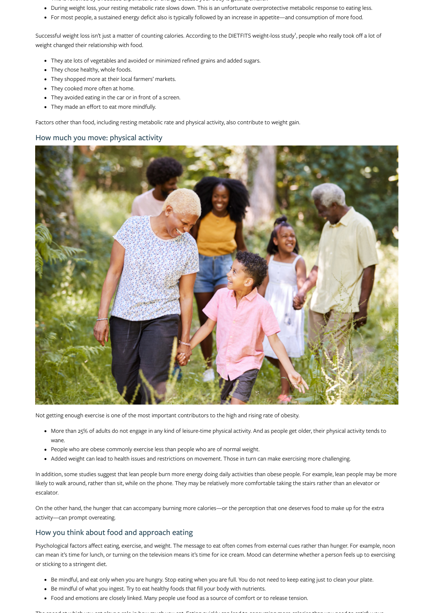- This is followed by a reduced expenditure of energy because your body is getting smaller.
- During weight loss, your resting metabolic rate slows down. This is an unfortunate overprotective metabolic response to eating less.
- For most people, a sustained energy deficit also is typically followed by an increase in appetite—and consumption of more food.

Successful weight loss isn't just a matter of counting calories. According to the DIETFITS weight-loss study<sup>1</sup>, people who really took off a lot of weight changed their relationship with food.

- They ate lots of vegetables and avoided or minimized refined grains and added sugars.
- They chose healthy, whole foods.
- They shopped more at their local farmers' markets.
- They cooked more often at home.
- They avoided eating in the car or in front of a screen.
- They made an effort to eat more mindfully.

Factors other than food, including resting metabolic rate and physical activity, also contribute to weight gain.

#### How much you move: physical activity



Not getting enough exercise is one of the most important contributors to the high and rising rate of obesity.

- More than 25% of adults do not engage in any kind of leisure-time physical activity. And as people get older, their physical activity tends to wane.
- People who are obese commonly exercise less than people who are of normal weight.
- Added weight can lead to health issues and restrictions on movement. Those in turn can make exercising more challenging.

In addition, some studies suggest that lean people burn more energy doing daily activities than obese people. For example, lean people may be more likely to walk around, rather than sit, while on the phone. They may be relatively more comfortable taking the stairs rather than an elevator or escalator.

On the other hand, the hunger that can accompany burning more calories—or the perception that one deserves food to make up for the extra activity—can prompt overeating.

### How you think about food and approach eating

Psychological factors affect eating, exercise, and weight. The message to eat often comes from external cues rather than hunger. For example, noon can mean it's time for lunch, or turning on the television means it's time for ice cream. Mood can determine whether a person feels up to exercising or sticking to a stringent diet.

- Be mindful, and eat only when you are hungry. Stop eating when you are full. You do not need to keep eating just to clean your plate.
- Be mindful of what you ingest. Try to eat healthy foods that fill your body with nutrients.
- Food and emotions are closely linked. Many people use food as a source of comfort or to release tension.

The speed at which you eat plays a role in how much you eat Eating quickly can lead to consuming more calories than you need to satisfy your